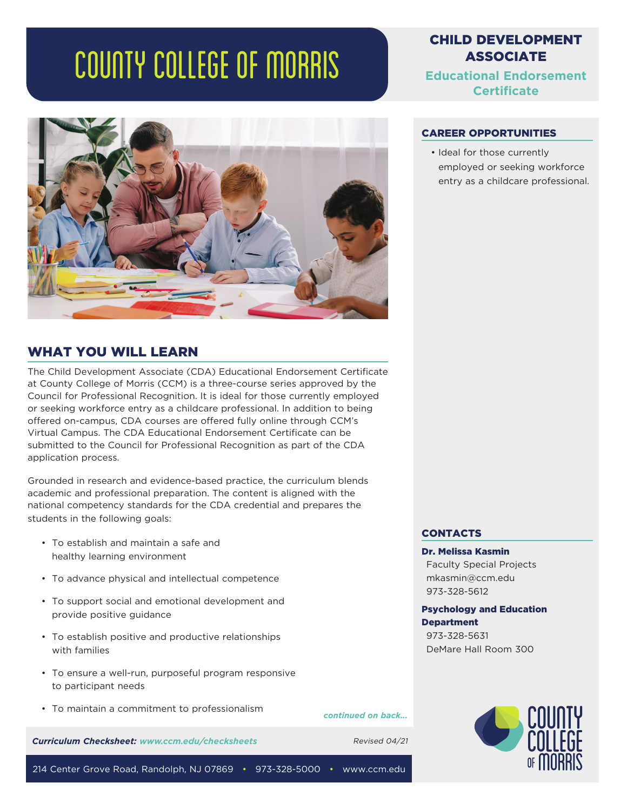# COUNTY COLLEGE OF MORRIS



## WHAT YOU WILL LEARN

The Child Development Associate (CDA) Educational Endorsement Certificate at County College of Morris (CCM) is a three-course series approved by the Council for Professional Recognition. It is ideal for those currently employed or seeking workforce entry as a childcare professional. In addition to being offered on-campus, CDA courses are offered fully online through CCM's Virtual Campus. The CDA Educational Endorsement Certificate can be submitted to the Council for Professional Recognition as part of the CDA application process.

Grounded in research and evidence-based practice, the curriculum blends academic and professional preparation. The content is aligned with the national competency standards for the CDA credential and prepares the students in the following goals:

- To establish and maintain a safe and healthy learning environment
- To advance physical and intellectual competence
- To support social and emotional development and provide positive guidance
- To establish positive and productive relationships with families
- To ensure a well-run, purposeful program responsive to participant needs
- To maintain a commitment to professionalism

*continued on back...*

*Curriculum Checksheet: www.ccm.edu/checksheets* Revised 04/21

# CHILD DEVELOPMENT ASSOCIATE

**Educational Endorsement Certificate**

#### CAREER OPPORTUNITIES

• Ideal for those currently employed or seeking workforce entry as a childcare professional.

#### **CONTACTS**

#### Dr. Melissa Kasmin

Faculty Special Projects mkasmin@ccm.edu 973-328-5612

Psychology and Education **Department** 973-328-5631 DeMare Hall Room 300



214 Center Grove Road, Randolph, NJ 07869 • 973-328-5000 • www.ccm.edu